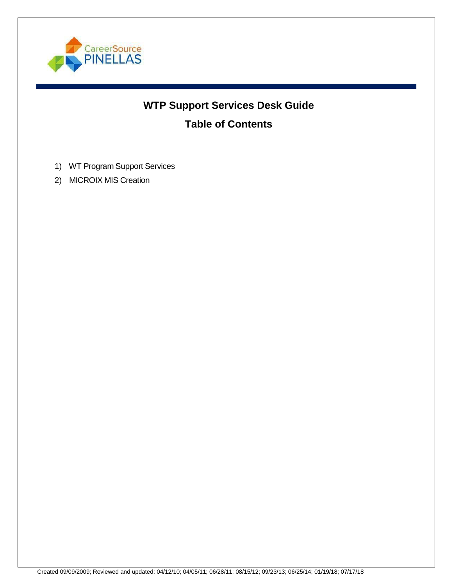

# **WTP Support Services Desk Guide Table of Contents**

- 1) WT Program Support Services
- 2) MICROIX MIS Creation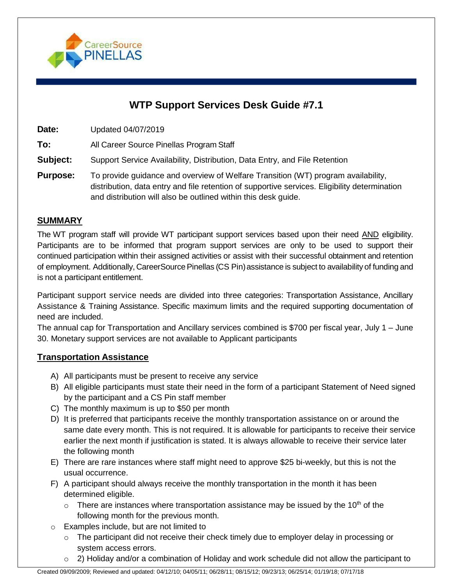

# **WTP Support Services Desk Guide #7.1**

**Date:** Updated 04/07/2019

**To:** All Career Source Pinellas Program Staff

**Subject:** Support Service Availability, Distribution, Data Entry, and File Retention

**Purpose:** To provide guidance and overview of Welfare Transition (WT) program availability, distribution, data entry and file retention of supportive services. Eligibility determination and distribution will also be outlined within this desk guide.

# **SUMMARY**

The WT program staff will provide WT participant support services based upon their need AND eligibility. Participants are to be informed that program support services are only to be used to support their continued participation within their assigned activities or assist with their successful obtainment and retention of employment. Additionally, CareerSource Pinellas (CS Pin) assistance is subject to availability of funding and is not a participant entitlement.

Participant support service needs are divided into three categories: Transportation Assistance, Ancillary Assistance & Training Assistance. Specific maximum limits and the required supporting documentation of need are included.

The annual cap for Transportation and Ancillary services combined is \$700 per fiscal year, July 1 – June 30. Monetary support services are not available to Applicant participants

# **Transportation Assistance**

- A) All participants must be present to receive any service
- B) All eligible participants must state their need in the form of a participant Statement of Need signed by the participant and a CS Pin staff member
- C) The monthly maximum is up to \$50 per month
- D) It is preferred that participants receive the monthly transportation assistance on or around the same date every month. This is not required. It is allowable for participants to receive their service earlier the next month if justification is stated. It is always allowable to receive their service later the following month
- E) There are rare instances where staff might need to approve \$25 bi-weekly, but this is not the usual occurrence.
- F) A participant should always receive the monthly transportation in the month it has been determined eligible.
	- $\circ$  There are instances where transportation assistance may be issued by the 10<sup>th</sup> of the following month for the previous month.
- o Examples include, but are not limited to
	- $\circ$  The participant did not receive their check timely due to employer delay in processing or system access errors.
	- $\circ$  2) Holiday and/or a combination of Holiday and work schedule did not allow the participant to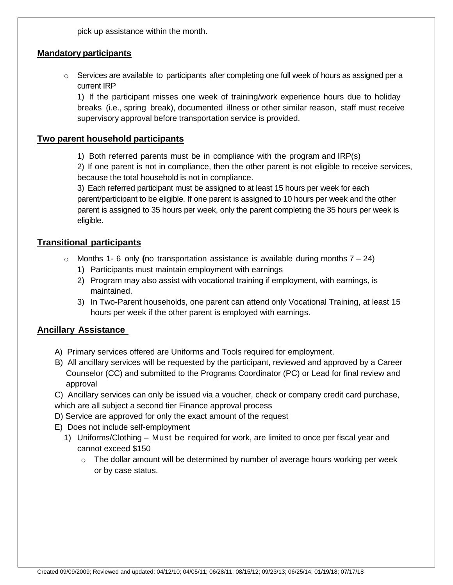pick up assistance within the month.

# **Mandatory participants**

 $\circ$  Services are available to participants after completing one full week of hours as assigned per a current IRP

1) If the participant misses one week of training/work experience hours due to holiday breaks (i.e., spring break), documented illness or other similar reason, staff must receive supervisory approval before transportation service is provided.

#### **Two parent household participants**

1) Both referred parents must be in compliance with the program and IRP(s)

2) If one parent is not in compliance, then the other parent is not eligible to receive services, because the total household is not in compliance.

3) Each referred participant must be assigned to at least 15 hours per week for each parent/participant to be eligible. If one parent is assigned to 10 hours per week and the other parent is assigned to 35 hours per week, only the parent completing the 35 hours per week is eligible.

#### **Transitional participants**

- o Months 1- 6 only **(**no transportation assistance is available during months 7 24)
	- 1) Participants must maintain employment with earnings
	- 2) Program may also assist with vocational training if employment, with earnings, is maintained.
	- 3) In Two-Parent households, one parent can attend only Vocational Training, at least 15 hours per week if the other parent is employed with earnings.

# **Ancillary Assistance**

- A) Primary services offered are Uniforms and Tools required for employment.
- B) All ancillary services will be requested by the participant, reviewed and approved by a Career Counselor (CC) and submitted to the Programs Coordinator (PC) or Lead for final review and approval

C) Ancillary services can only be issued via a voucher, check or company credit card purchase, which are all subject a second tier Finance approval process

- D) Service are approved for only the exact amount of the request
- E) Does not include self-employment
	- 1) Uniforms/Clothing Must be required for work, are limited to once per fiscal year and cannot exceed \$150
		- o The dollar amount will be determined by number of average hours working per week or by case status.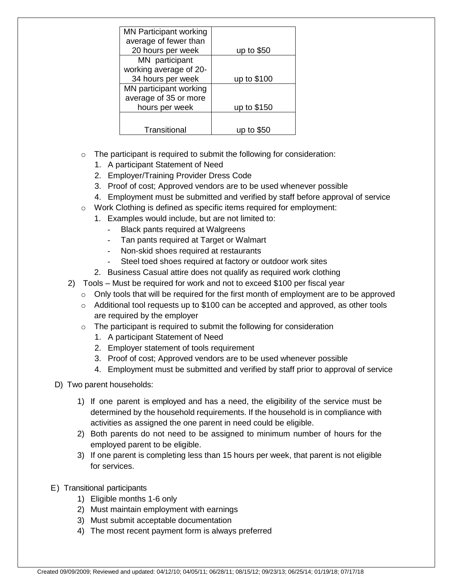| <b>MN Participant working</b> |             |
|-------------------------------|-------------|
| average of fewer than         |             |
| 20 hours per week             | up to $$50$ |
| MN participant                |             |
| working average of 20-        |             |
| 34 hours per week             | up to \$100 |
| MN participant working        |             |
|                               |             |
| hours per week                | up to \$150 |
|                               |             |
| Transitional                  |             |
| average of 35 or more         |             |

- o The participant is required to submit the following for consideration:
	- 1. A participant Statement of Need
	- 2. Employer/Training Provider Dress Code
	- 3. Proof of cost; Approved vendors are to be used whenever possible
	- 4. Employment must be submitted and verified by staff before approval of service
- o Work Clothing is defined as specific items required for employment:
	- 1. Examples would include, but are not limited to:
		- Black pants required at Walgreens
		- Tan pants required at Target or Walmart
		- Non-skid shoes required at restaurants
		- Steel toed shoes required at factory or outdoor work sites
	- 2. Business Casual attire does not qualify as required work clothing
- 2) Tools Must be required for work and not to exceed \$100 per fiscal year
	- $\circ$  Only tools that will be required for the first month of employment are to be approved
	- $\circ$  Additional tool requests up to \$100 can be accepted and approved, as other tools are required by the employer
	- o The participant is required to submit the following for consideration
		- 1. A participant Statement of Need
		- 2. Employer statement of tools requirement
		- 3. Proof of cost; Approved vendors are to be used whenever possible
		- 4. Employment must be submitted and verified by staff prior to approval of service
- D) Two parent households:
	- 1) If one parent is employed and has a need, the eligibility of the service must be determined by the household requirements. If the household is in compliance with activities as assigned the one parent in need could be eligible.
	- 2) Both parents do not need to be assigned to minimum number of hours for the employed parent to be eligible.
	- 3) If one parent is completing less than 15 hours per week, that parent is not eligible for services.
- E) Transitional participants
	- 1) Eligible months 1-6 only
	- 2) Must maintain employment with earnings
	- 3) Must submit acceptable documentation
	- 4) The most recent payment form is always preferred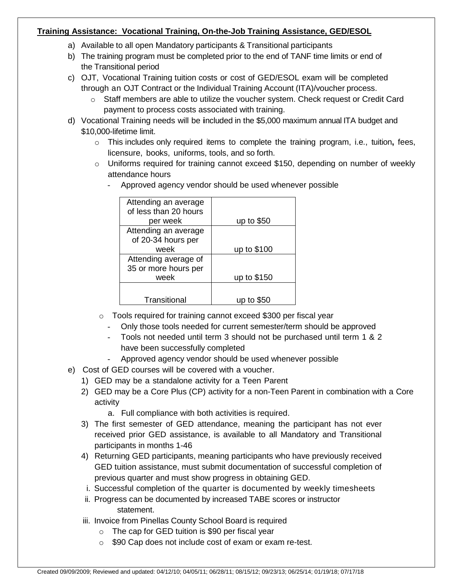#### **Training Assistance: Vocational Training, On-the-Job Training Assistance, GED/ESOL**

- a) Available to all open Mandatory participants & Transitional participants
- b) The training program must be completed prior to the end of TANF time limits or end of the Transitional period
- c) OJT, Vocational Training tuition costs or cost of GED/ESOL exam will be completed through an OJT Contract or the Individual Training Account (ITA)/voucher process.
	- $\circ$  Staff members are able to utilize the voucher system. Check request or Credit Card payment to process costs associated with training.
- d) Vocational Training needs will be **i**ncluded in the \$5,000 maximum annual ITA budget and \$10,000-lifetime limit.
	- o This includes only required items to complete the training program, i.e., tuition**,** fees, licensure, books, uniforms, tools, and so forth.
	- $\circ$  Uniforms required for training cannot exceed \$150, depending on number of weekly attendance hours

| Attending an average  |             |
|-----------------------|-------------|
| of less than 20 hours |             |
|                       |             |
| per week              | up to $$50$ |
| Attending an average  |             |
| of 20-34 hours per    |             |
| week                  | up to \$100 |
| Attending average of  |             |
| 35 or more hours per  |             |
| week                  | up to \$150 |
|                       |             |
|                       |             |
| Transitional          |             |

- Approved agency vendor should be used whenever possible

- o Tools required for training cannot exceed \$300 per fiscal year
	- Only those tools needed for current semester/term should be approved
	- Tools not needed until term 3 should not be purchased until term 1 & 2 have been successfully completed
	- Approved agency vendor should be used whenever possible
- e) Cost of GED courses will be covered with a voucher.
	- 1) GED may be a standalone activity for a Teen Parent
	- 2) GED may be a Core Plus (CP) activity for a non-Teen Parent in combination with a Core activity

a. Full compliance with both activities is required.

- 3) The first semester of GED attendance, meaning the participant has not ever received prior GED assistance, is available to all Mandatory and Transitional participants in months 1-46
- 4) Returning GED participants, meaning participants who have previously received GED tuition assistance, must submit documentation of successful completion of previous quarter and must show progress in obtaining GED.
- i. Successful completion of the quarter is documented by weekly timesheets
- ii. Progress can be documented by increased TABE scores or instructor statement.
- iii. Invoice from Pinellas County School Board is required
	- $\circ$  The cap for GED tuition is \$90 per fiscal year
	- o \$90 Cap does not include cost of exam or exam re-test.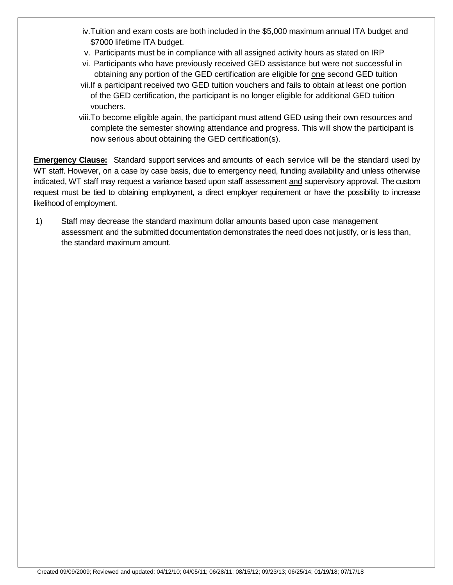- iv.Tuition and exam costs are both included in the \$5,000 maximum annual ITA budget and \$7000 lifetime ITA budget.
- v. Participants must be in compliance with all assigned activity hours as stated on IRP
- vi. Participants who have previously received GED assistance but were not successful in obtaining any portion of the GED certification are eligible for one second GED tuition
- vii.If a participant received two GED tuition vouchers and fails to obtain at least one portion of the GED certification, the participant is no longer eligible for additional GED tuition vouchers.
- viii.To become eligible again, the participant must attend GED using their own resources and complete the semester showing attendance and progress. This will show the participant is now serious about obtaining the GED certification(s).

**Emergency Clause:** Standard support services and amounts of each service will be the standard used by WT staff. However, on a case by case basis, due to emergency need, funding availability and unless otherwise indicated, WT staff may request a variance based upon staff assessment and supervisory approval. The custom request must be tied to obtaining employment, a direct employer requirement or have the possibility to increase likelihood of employment.

1) Staff may decrease the standard maximum dollar amounts based upon case management assessment and the submitted documentation demonstrates the need does not justify, or is less than, the standard maximum amount.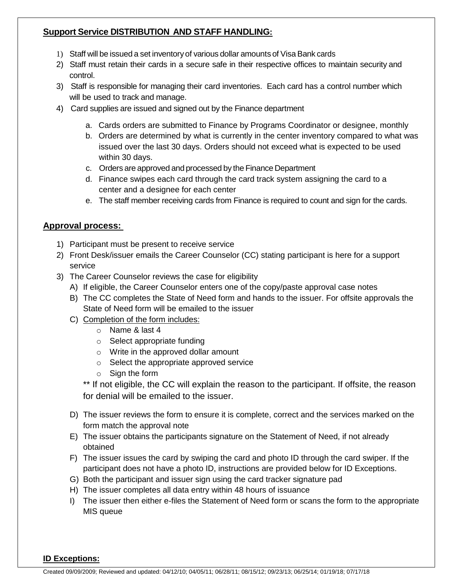# **Support Service DISTRIBUTION AND STAFF HANDLING:**

- 1) Staff will be issued a set inventory of various dollar amounts of Visa Bank cards
- 2) Staff must retain their cards in a secure safe in their respective offices to maintain security and control.
- 3) Staff is responsible for managing their card inventories. Each card has a control number which will be used to track and manage.
- 4) Card supplies are issued and signed out by the Finance department
	- a. Cards orders are submitted to Finance by Programs Coordinator or designee, monthly
	- b. Orders are determined by what is currently in the center inventory compared to what was issued over the last 30 days. Orders should not exceed what is expected to be used within 30 days.
	- c. Orders are approved and processed by the Finance Department
	- d. Finance swipes each card through the card track system assigning the card to a center and a designee for each center
	- e. The staff member receiving cards from Finance is required to count and sign for the cards.

# **Approval process:**

- 1) Participant must be present to receive service
- 2) Front Desk/issuer emails the Career Counselor (CC) stating participant is here for a support service
- 3) The Career Counselor reviews the case for eligibility
	- A) If eligible, the Career Counselor enters one of the copy/paste approval case notes
	- B) The CC completes the State of Need form and hands to the issuer. For offsite approvals the State of Need form will be emailed to the issuer
	- C) Completion of the form includes:
		- o Name & last 4
		- o Select appropriate funding
		- o Write in the approved dollar amount
		- o Select the appropriate approved service
		- o Sign the form

\*\* If not eligible, the CC will explain the reason to the participant. If offsite, the reason for denial will be emailed to the issuer.

- D) The issuer reviews the form to ensure it is complete, correct and the services marked on the form match the approval note
- E) The issuer obtains the participants signature on the Statement of Need, if not already obtained
- F) The issuer issues the card by swiping the card and photo ID through the card swiper. If the participant does not have a photo ID, instructions are provided below for ID Exceptions.
- G) Both the participant and issuer sign using the card tracker signature pad
- H) The issuer completes all data entry within 48 hours of issuance
- I) The issuer then either e-files the Statement of Need form or scans the form to the appropriate MIS queue

#### **ID Exceptions:**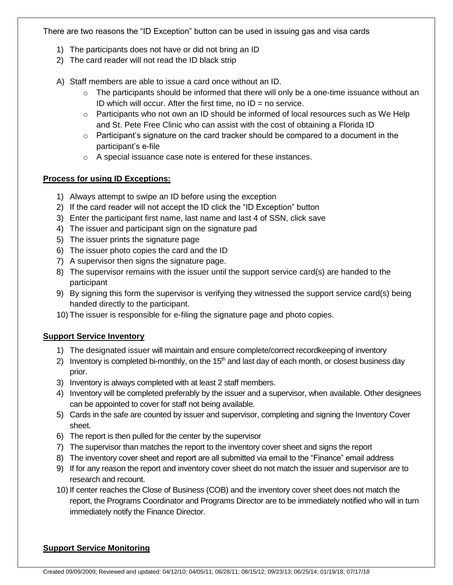There are two reasons the "ID Exception" button can be used in issuing gas and visa cards

- 1) The participants does not have or did not bring an ID
- 2) The card reader will not read the ID black strip

A) Staff members are able to issue a card once without an ID.

- $\circ$  The participants should be informed that there will only be a one-time issuance without an ID which will occur. After the first time, no  $ID = no$  service.
- $\circ$  Participants who not own an ID should be informed of local resources such as We Help and St. Pete Free Clinic who can assist with the cost of obtaining a Florida ID
- $\circ$  Participant's signature on the card tracker should be compared to a document in the participant's e-file
- o A special issuance case note is entered for these instances.

#### **Process for using ID Exceptions:**

- 1) Always attempt to swipe an ID before using the exception
- 2) If the card reader will not accept the ID click the "ID Exception" button
- 3) Enter the participant first name, last name and last 4 of SSN, click save
- 4) The issuer and participant sign on the signature pad
- 5) The issuer prints the signature page
- 6) The issuer photo copies the card and the ID
- 7) A supervisor then signs the signature page.
- 8) The supervisor remains with the issuer until the support service card(s) are handed to the participant
- 9) By signing this form the supervisor is verifying they witnessed the support service card(s) being handed directly to the participant.
- 10) The issuer is responsible for e-filing the signature page and photo copies.

# **Support Service Inventory**

- 1) The designated issuer will maintain and ensure complete/correct recordkeeping of inventory
- 2) Inventory is completed bi-monthly, on the  $15<sup>th</sup>$  and last day of each month, or closest business day prior.
- 3) Inventory is always completed with at least 2 staff members.
- 4) Inventory will be completed preferably by the issuer and a supervisor, when available. Other designees can be appointed to cover for staff not being available.
- 5) Cards in the safe are counted by issuer and supervisor, completing and signing the Inventory Cover sheet.
- 6) The report is then pulled for the center by the supervisor
- 7) The supervisor than matches the report to the inventory cover sheet and signs the report
- 8) The inventory cover sheet and report are all submitted via email to the "Finance" email address
- 9) If for any reason the report and inventory cover sheet do not match the issuer and supervisor are to research and recount.
- 10) If center reaches the Close of Business (COB) and the inventory cover sheet does not match the report, the Programs Coordinator and Programs Director are to be immediately notified who will in turn immediately notify the Finance Director.

# **Support Service Monitoring**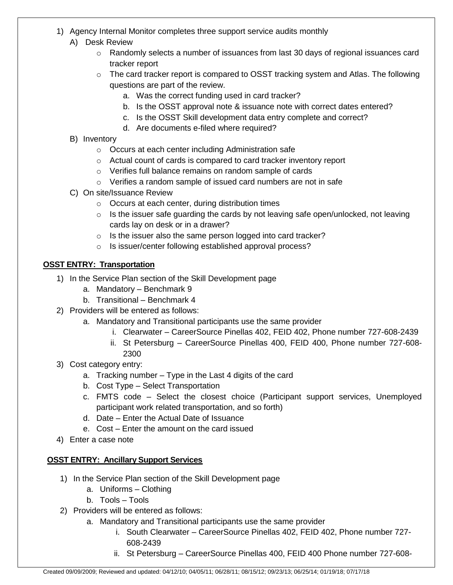- 1) Agency Internal Monitor completes three support service audits monthly
	- A) Desk Review
		- $\circ$  Randomly selects a number of issuances from last 30 days of regional issuances card tracker report
		- $\circ$  The card tracker report is compared to OSST tracking system and Atlas. The following questions are part of the review.
			- a. Was the correct funding used in card tracker?
			- b. Is the OSST approval note & issuance note with correct dates entered?
			- c. Is the OSST Skill development data entry complete and correct?
			- d. Are documents e-filed where required?

# B) Inventory

- o Occurs at each center including Administration safe
- o Actual count of cards is compared to card tracker inventory report
- o Verifies full balance remains on random sample of cards
- o Verifies a random sample of issued card numbers are not in safe
- C) On site/Issuance Review
	- o Occurs at each center, during distribution times
	- $\circ$  Is the issuer safe guarding the cards by not leaving safe open/unlocked, not leaving cards lay on desk or in a drawer?
	- o Is the issuer also the same person logged into card tracker?
	- o Is issuer/center following established approval process?

# **OSST ENTRY: Transportation**

- 1) In the Service Plan section of the Skill Development page
	- a. Mandatory Benchmark 9
	- b. Transitional Benchmark 4
- 2) Providers will be entered as follows:
	- a. Mandatory and Transitional participants use the same provider
		- i. Clearwater CareerSource Pinellas 402, FEID 402, Phone number 727-608-2439
		- ii. St Petersburg CareerSource Pinellas 400, FEID 400, Phone number 727-608- 2300
- 3) Cost category entry:
	- a. Tracking number Type in the Last 4 digits of the card
	- b. Cost Type Select Transportation
	- c. FMTS code Select the closest choice (Participant support services, Unemployed participant work related transportation, and so forth)
	- d. Date Enter the Actual Date of Issuance
	- e. Cost Enter the amount on the card issued
- 4) Enter a case note

# **OSST ENTRY: Ancillary Support Services**

- 1) In the Service Plan section of the Skill Development page
	- a. Uniforms Clothing
	- b. Tools Tools
- 2) Providers will be entered as follows:
	- a. Mandatory and Transitional participants use the same provider
		- i. South Clearwater CareerSource Pinellas 402, FEID 402, Phone number 727- 608-2439
		- ii. St Petersburg CareerSource Pinellas 400, FEID 400 Phone number 727-608-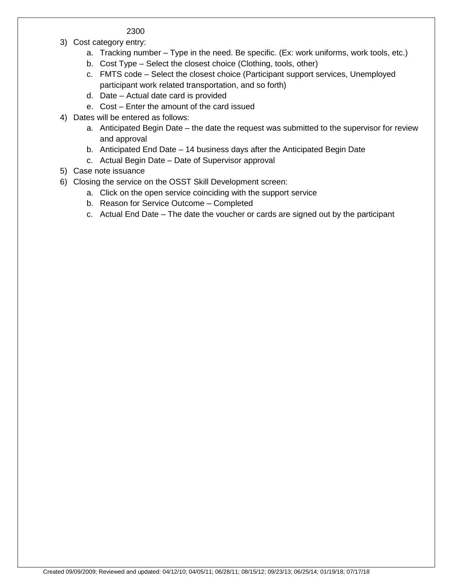#### 2300

- 3) Cost category entry:
	- a. Tracking number Type in the need. Be specific. (Ex: work uniforms, work tools, etc.)
	- b. Cost Type Select the closest choice (Clothing, tools, other)
	- c. FMTS code Select the closest choice (Participant support services, Unemployed participant work related transportation, and so forth)
	- d. Date Actual date card is provided
	- e. Cost Enter the amount of the card issued
- 4) Dates will be entered as follows:
	- a. Anticipated Begin Date the date the request was submitted to the supervisor for review and approval
	- b. Anticipated End Date 14 business days after the Anticipated Begin Date
	- c. Actual Begin Date Date of Supervisor approval
- 5) Case note issuance
- 6) Closing the service on the OSST Skill Development screen:
	- a. Click on the open service coinciding with the support service
	- b. Reason for Service Outcome Completed
	- c. Actual End Date The date the voucher or cards are signed out by the participant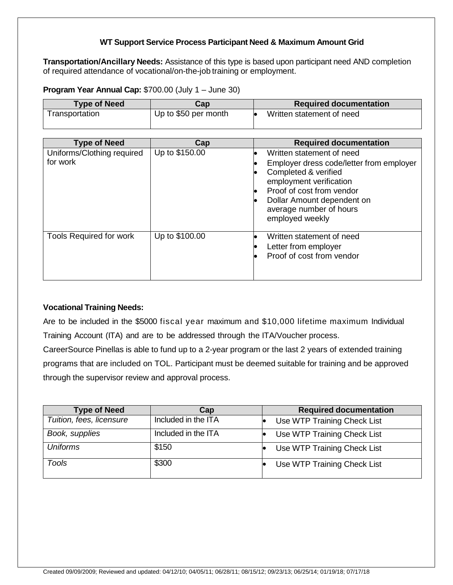#### **WT Support Service Process Participant Need & Maximum Amount Grid**

**Transportation/Ancillary Needs:** Assistance of this type is based upon participant need AND completion of required attendance of vocational/on-the-job training or employment.

**Program Year Annual Cap:** \$700.00 (July 1 – June 30)

| <b>Type of Need</b> | Cap                  | <b>Required documentation</b> |
|---------------------|----------------------|-------------------------------|
| └ransportation      | Up to \$50 per month | Written statement of need     |

| <b>Type of Need</b>                    | Cap            | <b>Required documentation</b>                                                                                                                                                                                                                  |
|----------------------------------------|----------------|------------------------------------------------------------------------------------------------------------------------------------------------------------------------------------------------------------------------------------------------|
| Uniforms/Clothing required<br>for work | Up to \$150.00 | Written statement of need<br>$\bullet$<br>Employer dress code/letter from employer<br>Completed & verified<br>employment verification<br>Proof of cost from vendor<br>Dollar Amount dependent on<br>average number of hours<br>employed weekly |
| <b>Tools Required for work</b>         | Up to \$100.00 | Written statement of need<br>Letter from employer<br>Proof of cost from vendor                                                                                                                                                                 |

#### **Vocational Training Needs:**

Are to be included in the \$5000 fiscal year maximum and \$10,000 lifetime maximum Individual Training Account (ITA) and are to be addressed through the ITA/Voucher process.

CareerSource Pinellas is able to fund up to a 2-year program or the last 2 years of extended training programs that are included on TOL. Participant must be deemed suitable for training and be approved through the supervisor review and approval process.

| <b>Type of Need</b>      | Cap                 | <b>Required documentation</b> |
|--------------------------|---------------------|-------------------------------|
| Tuition, fees, licensure | Included in the ITA | Use WTP Training Check List   |
| Book, supplies           | Included in the ITA | Use WTP Training Check List   |
| <b>Uniforms</b>          | \$150               | Use WTP Training Check List   |
| Tools                    | \$300               | Use WTP Training Check List   |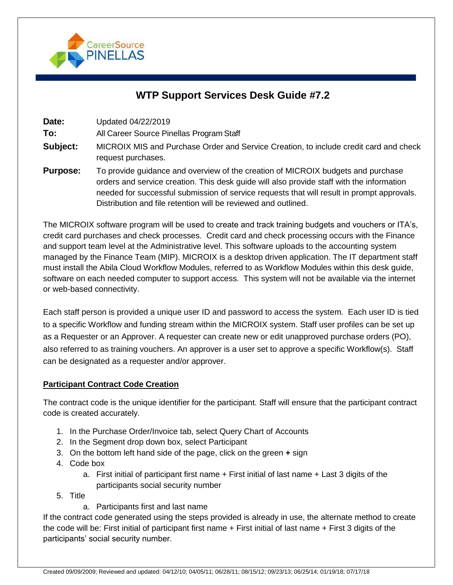

# **WTP Support Services Desk Guide #7.2**

**Date:** Updated 04/22/2019

**To:** All Career Source Pinellas Program Staff

- **Subject:** MICROIX MIS and Purchase Order and Service Creation, to include credit card and check request purchases.
- **Purpose:** To provide guidance and overview of the creation of MICROIX budgets and purchase orders and service creation. This desk guide will also provide staff with the information needed for successful submission of service requests that will result in prompt approvals. Distribution and file retention will be reviewed and outlined.

The MICROIX software program will be used to create and track training budgets and vouchers or ITA's, credit card purchases and check processes. Credit card and check processing occurs with the Finance and support team level at the Administrative level. This software uploads to the accounting system managed by the Finance Team (MIP). MICROIX is a desktop driven application. The IT department staff must install the Abila Cloud Workflow Modules, referred to as Workflow Modules within this desk guide, software on each needed computer to support access. This system will not be available via the internet or web-based connectivity.

Each staff person is provided a unique user ID and password to access the system. Each user ID is tied to a specific Workflow and funding stream within the MICROIX system. Staff user profiles can be set up as a Requester or an Approver. A requester can create new or edit unapproved purchase orders (PO), also referred to as training vouchers. An approver is a user set to approve a specific Workflow(s). Staff can be designated as a requester and/or approver.

#### **Participant Contract Code Creation**

The contract code is the unique identifier for the participant. Staff will ensure that the participant contract code is created accurately.

- 1. In the Purchase Order/Invoice tab, select Query Chart of Accounts
- 2. In the Segment drop down box, select Participant
- 3. On the bottom left hand side of the page, click on the green **+** sign
- 4. Code box
	- a. First initial of participant first name + First initial of last name + Last 3 digits of the participants social security number
- 5. Title
	- a. Participants first and last name

If the contract code generated using the steps provided is already in use, the alternate method to create the code will be: First initial of participant first name + First initial of last name + First 3 digits of the participants' social security number.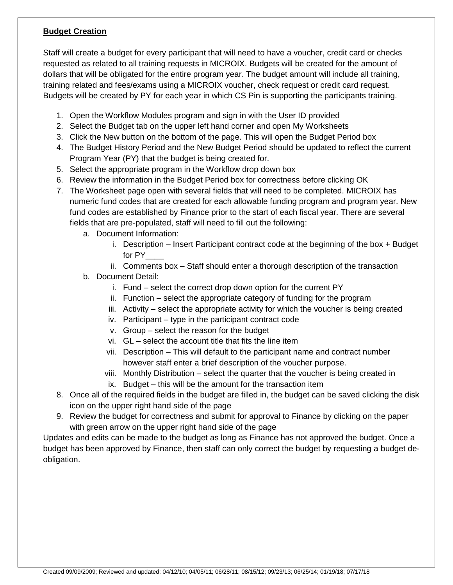#### **Budget Creation**

Staff will create a budget for every participant that will need to have a voucher, credit card or checks requested as related to all training requests in MICROIX. Budgets will be created for the amount of dollars that will be obligated for the entire program year. The budget amount will include all training, training related and fees/exams using a MICROIX voucher, check request or credit card request. Budgets will be created by PY for each year in which CS Pin is supporting the participants training.

- 1. Open the Workflow Modules program and sign in with the User ID provided
- 2. Select the Budget tab on the upper left hand corner and open My Worksheets
- 3. Click the New button on the bottom of the page. This will open the Budget Period box
- 4. The Budget History Period and the New Budget Period should be updated to reflect the current Program Year (PY) that the budget is being created for.
- 5. Select the appropriate program in the Workflow drop down box
- 6. Review the information in the Budget Period box for correctness before clicking OK
- 7. The Worksheet page open with several fields that will need to be completed. MICROIX has numeric fund codes that are created for each allowable funding program and program year. New fund codes are established by Finance prior to the start of each fiscal year. There are several fields that are pre-populated, staff will need to fill out the following:
	- a. Document Information:
		- i. Description  $-$  Insert Participant contract code at the beginning of the box  $+$  Budget for PY
		- ii. Comments box Staff should enter a thorough description of the transaction
	- b. Document Detail:
		- i. Fund select the correct drop down option for the current PY
		- ii. Function select the appropriate category of funding for the program
		- iii. Activity select the appropriate activity for which the voucher is being created
		- iv. Participant type in the participant contract code
		- v. Group select the reason for the budget
		- vi. GL select the account title that fits the line item
		- vii. Description This will default to the participant name and contract number however staff enter a brief description of the voucher purpose.
		- viii. Monthly Distribution select the quarter that the voucher is being created in
		- ix. Budget this will be the amount for the transaction item
- 8. Once all of the required fields in the budget are filled in, the budget can be saved clicking the disk icon on the upper right hand side of the page
- 9. Review the budget for correctness and submit for approval to Finance by clicking on the paper with green arrow on the upper right hand side of the page

Updates and edits can be made to the budget as long as Finance has not approved the budget. Once a budget has been approved by Finance, then staff can only correct the budget by requesting a budget deobligation.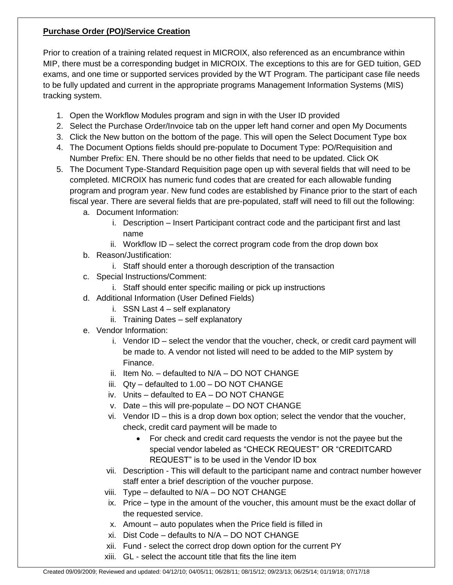#### **Purchase Order (PO)/Service Creation**

Prior to creation of a training related request in MICROIX, also referenced as an encumbrance within MIP, there must be a corresponding budget in MICROIX. The exceptions to this are for GED tuition, GED exams, and one time or supported services provided by the WT Program. The participant case file needs to be fully updated and current in the appropriate programs Management Information Systems (MIS) tracking system.

- 1. Open the Workflow Modules program and sign in with the User ID provided
- 2. Select the Purchase Order/Invoice tab on the upper left hand corner and open My Documents
- 3. Click the New button on the bottom of the page. This will open the Select Document Type box
- 4. The Document Options fields should pre-populate to Document Type: PO/Requisition and Number Prefix: EN. There should be no other fields that need to be updated. Click OK
- 5. The Document Type-Standard Requisition page open up with several fields that will need to be completed. MICROIX has numeric fund codes that are created for each allowable funding program and program year. New fund codes are established by Finance prior to the start of each fiscal year. There are several fields that are pre-populated, staff will need to fill out the following:
	- a. Document Information:
		- i. Description Insert Participant contract code and the participant first and last name
		- ii. Workflow ID select the correct program code from the drop down box
	- b. Reason/Justification:
		- i. Staff should enter a thorough description of the transaction
	- c. Special Instructions/Comment:
		- i. Staff should enter specific mailing or pick up instructions
	- d. Additional Information (User Defined Fields)
		- i. SSN Last 4 self explanatory
		- ii. Training Dates self explanatory
	- e. Vendor Information:
		- i. Vendor ID select the vendor that the voucher, check, or credit card payment will be made to. A vendor not listed will need to be added to the MIP system by Finance.
		- ii. Item No. defaulted to N/A DO NOT CHANGE
		- iii. Qty defaulted to 1.00 DO NOT CHANGE
		- iv. Units defaulted to EA DO NOT CHANGE
		- v. Date this will pre-populate DO NOT CHANGE
		- vi. Vendor ID this is a drop down box option; select the vendor that the voucher, check, credit card payment will be made to
			- For check and credit card requests the vendor is not the payee but the special vendor labeled as "CHECK REQUEST" OR "CREDITCARD REQUEST" is to be used in the Vendor ID box
		- vii. Description This will default to the participant name and contract number however staff enter a brief description of the voucher purpose.
		- viii. Type defaulted to N/A DO NOT CHANGE
		- ix. Price type in the amount of the voucher, this amount must be the exact dollar of the requested service.
		- x. Amount auto populates when the Price field is filled in
		- xi. Dist Code defaults to N/A DO NOT CHANGE
		- xii. Fund select the correct drop down option for the current PY
		- xiii. GL select the account title that fits the line item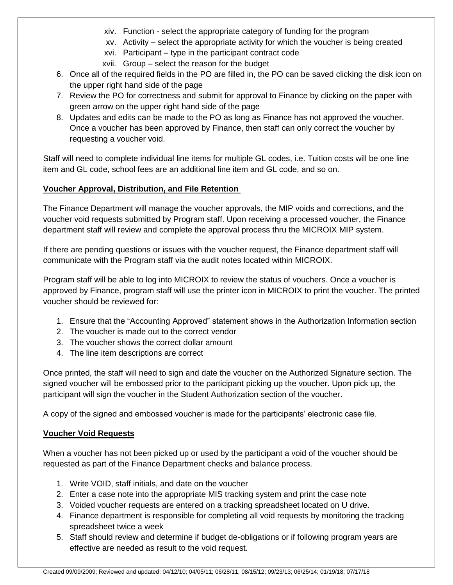- xiv. Function select the appropriate category of funding for the program
- xv. Activity select the appropriate activity for which the voucher is being created
- xvi. Participant type in the participant contract code
- xvii. Group select the reason for the budget
- 6. Once all of the required fields in the PO are filled in, the PO can be saved clicking the disk icon on the upper right hand side of the page
- 7. Review the PO for correctness and submit for approval to Finance by clicking on the paper with green arrow on the upper right hand side of the page
- 8. Updates and edits can be made to the PO as long as Finance has not approved the voucher. Once a voucher has been approved by Finance, then staff can only correct the voucher by requesting a voucher void.

Staff will need to complete individual line items for multiple GL codes, i.e. Tuition costs will be one line item and GL code, school fees are an additional line item and GL code, and so on.

# **Voucher Approval, Distribution, and File Retention**

The Finance Department will manage the voucher approvals, the MIP voids and corrections, and the voucher void requests submitted by Program staff. Upon receiving a processed voucher, the Finance department staff will review and complete the approval process thru the MICROIX MIP system.

If there are pending questions or issues with the voucher request, the Finance department staff will communicate with the Program staff via the audit notes located within MICROIX.

Program staff will be able to log into MICROIX to review the status of vouchers. Once a voucher is approved by Finance, program staff will use the printer icon in MICROIX to print the voucher. The printed voucher should be reviewed for:

- 1. Ensure that the "Accounting Approved" statement shows in the Authorization Information section
- 2. The voucher is made out to the correct vendor
- 3. The voucher shows the correct dollar amount
- 4. The line item descriptions are correct

Once printed, the staff will need to sign and date the voucher on the Authorized Signature section. The signed voucher will be embossed prior to the participant picking up the voucher. Upon pick up, the participant will sign the voucher in the Student Authorization section of the voucher.

A copy of the signed and embossed voucher is made for the participants' electronic case file.

# **Voucher Void Requests**

When a voucher has not been picked up or used by the participant a void of the voucher should be requested as part of the Finance Department checks and balance process.

- 1. Write VOID, staff initials, and date on the voucher
- 2. Enter a case note into the appropriate MIS tracking system and print the case note
- 3. Voided voucher requests are entered on a tracking spreadsheet located on U drive.
- 4. Finance department is responsible for completing all void requests by monitoring the tracking spreadsheet twice a week
- 5. Staff should review and determine if budget de-obligations or if following program years are effective are needed as result to the void request.